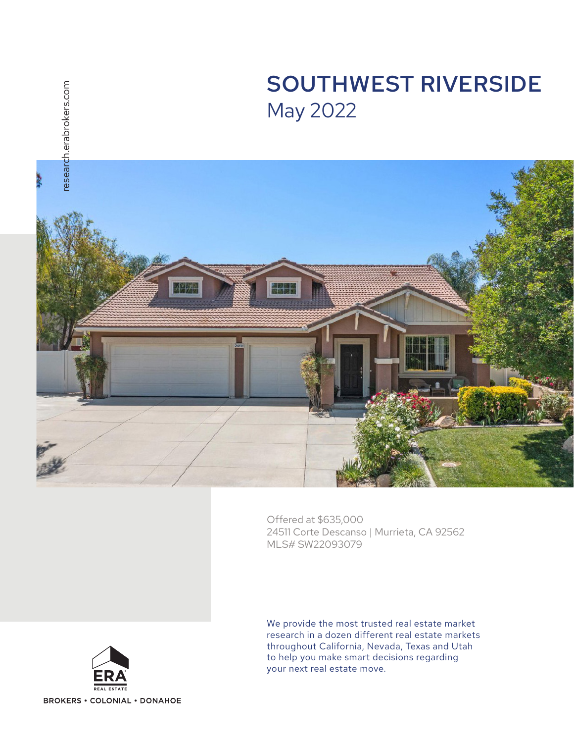



Offered at \$635,000 24511 Corte Descanso | Murrieta, CA 92562 MLS# SW22093079



We provide the most trusted real estate market research in a dozen different real estate markets throughout California, Nevada, Texas and Utah to help you make smart decisions regarding your next real estate move.